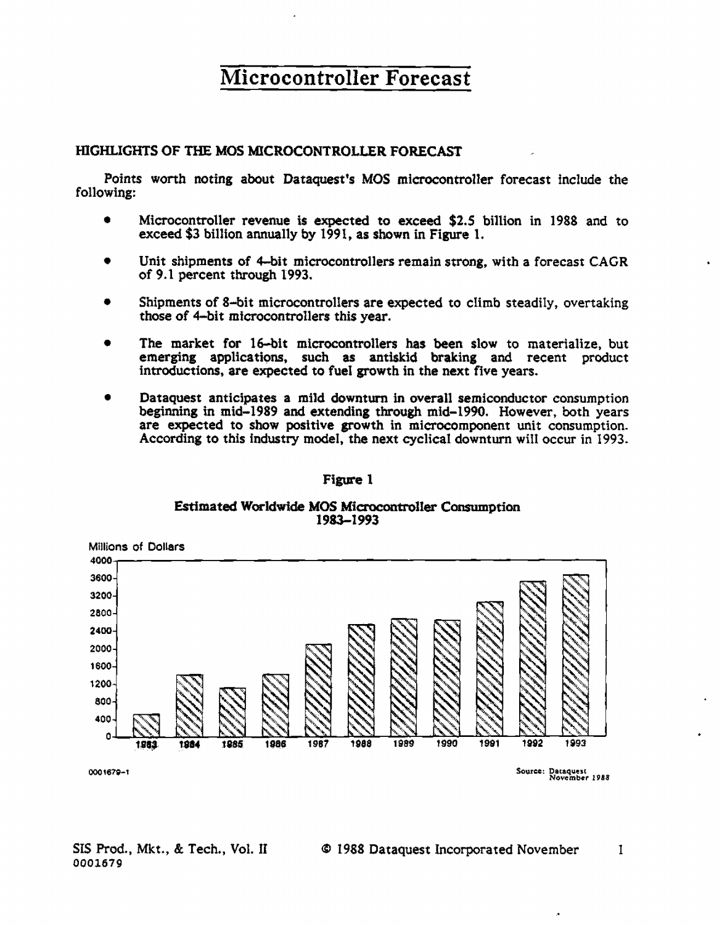#### HIGHLIGHTS OF THE MOS MICROCONTROLLER FORECAST

Points worth noting about Dataquest's MOS microcontroller forecast include the following:

- $\bullet$ Microcontroller revenue is expected to exceed \$2.5 billion in 1988 and to exceed \$3 billion annually by 1991, as shown in Figure 1.
- Unit shipments of 4-bit microcontrollers remain strong, with a forecast CAGR of 9.1 percent through 1993.
- Shipments of 8-bit microcontrollers are expected to climb steadily, overtaking  $\bullet$ those of 4-bit microcontrollers this year.
- The market for 16-bit microcontrollers has been slow to materialize, but emerging applications, such as antiskid braking and recent product introductions, are expected to fuel growth in the next five years.
- Dataquest anticipates a mild downturn in overall semiconductor consumption beginning in mid-1989 and extending through mid-1990. However, both years are expected to show positive growth in microcomponent unit consumption. According to this industry model, the next cyclical downturn will occur in 1993.

#### Figure 1

#### Estimated Worldwide MOS Microcontroller Consumption 1983-1993

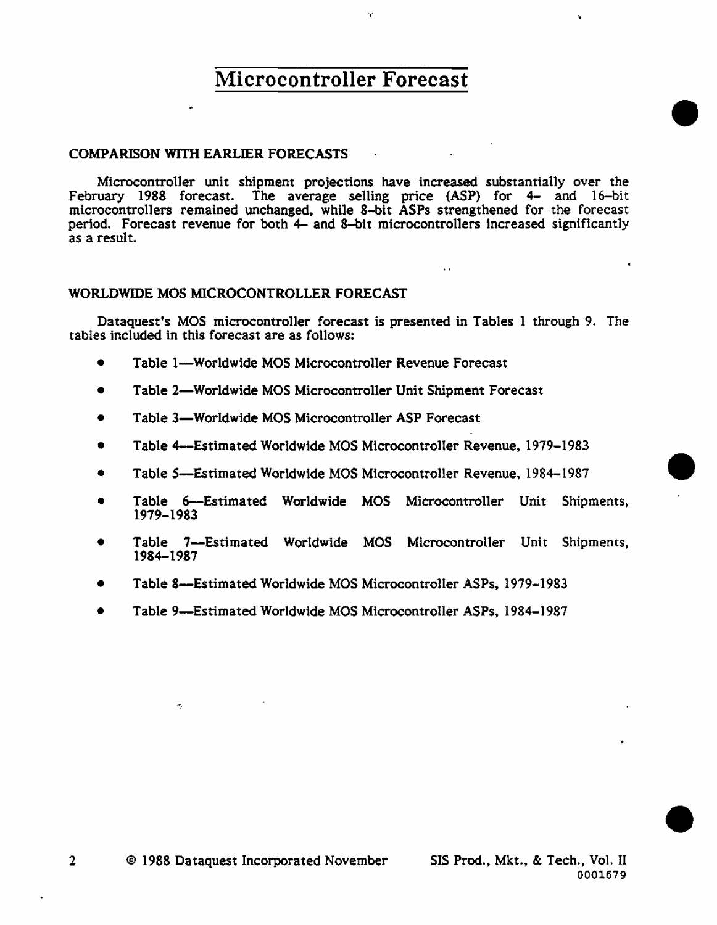.,.

#### COMPARISON WITH EARLIER FORECASTS

Microcontroller unit shipment projections have increased substantially over the February 1988 forecast. The average selling price (ASP) for 4- and 16-bit microcontrollers remained unchanged, while 8-bit ASPs strengthened for the forecast period. Forecast revenue for both 4- and 8-bit microcontrollers increased significantly as a result.

 $\ddot{\phantom{a}}$ 

#### WORLDWIDE MOS MICROCONTROLLER FORECAST

Dataquest's MOS microcontroller forecast is presented in Tables 1 through 9. The tables included in this forecast are as follows:

- Table 1--Worldwide MOS Microcontroller Revenue Forecast
- Table 2-Worldwide MOS Microcontroller Unit Shipment Forecast
- Table 3-Worldwide MOS Microcontroller ASP Forecast
- Table 4-Estimated Worldwide MOS Microcontroller Revenue, 1979-1983
- Table S-Estimated Worldwide MOS Mierocontroller Revenue. 1984-1987
- Table 6-Estimated Worldwide MOS Mierocontroller Unit Shipments, 1979-1983
- Table 7-Estimated Worldwide MOS Microcontroller Unit Shipments, 1984-1987
- Table 8-Estimated Worldwide MOS Microcontroller ASPs, 1979-1983
- Table 9-Estimated Worldwide MOS Mierocontroller ASPs, 1984-1987

•

 $\bullet$ 

•

÷,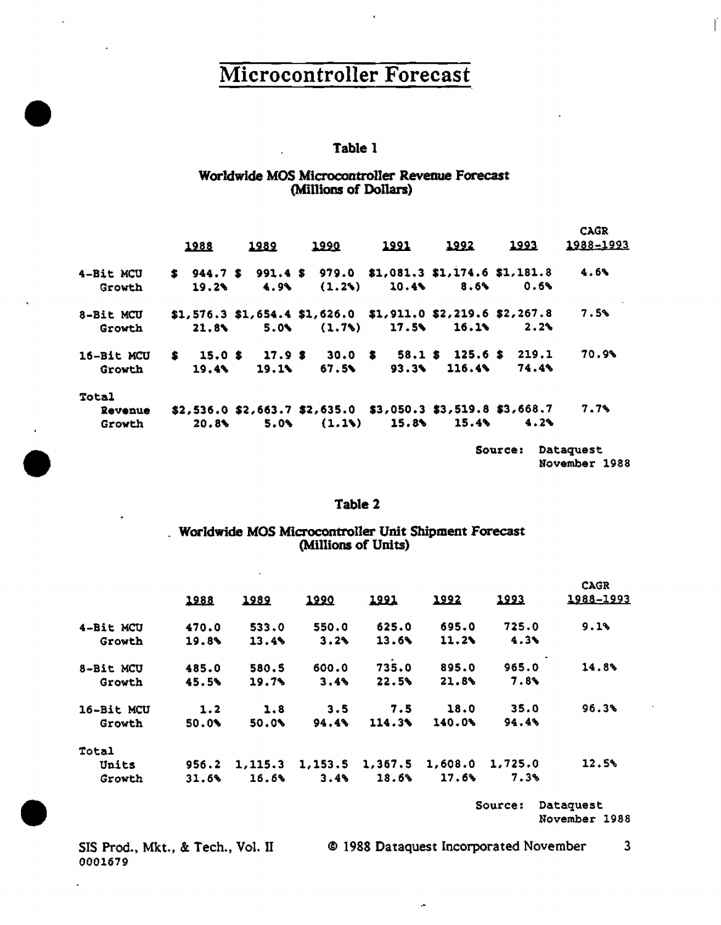#### Table 1

#### Worldwide MOS Microcontroller Revenue Forecast (Millions of Dollars)

|            |       |         |                                                                                 |       |        |         | <b>CAGR</b> |
|------------|-------|---------|---------------------------------------------------------------------------------|-------|--------|---------|-------------|
|            | 1988  | 1989    | <b>1990</b>                                                                     | 1991  | 1992   | 1993    | 1988-1993   |
| 4-Bit MCU  |       |         | $$944.7$$ \$991.4 \$979.0 \$1,081.3 \$1,174.6 \$1,181.8                         |       |        |         | 4.6%        |
| Growth     | 19.2% | 4.9%    | (1.23)                                                                          | 10.4% | 8.64   | 0.6%    |             |
| 8-Bit MCU  |       |         | $$1,576.3$ $$1,654.4$ $$1,626.0$ $$1,911.0$ $$2,219.6$ $$2,267.8$               |       |        |         | 7.5%        |
| Growth     | 21.8  | $5.0\%$ | (1.7)                                                                           | 17.5% | 16.1%  | 2.2%    |             |
| 16-Bit MCU |       |         | $$15.0 \text{ }$17.9 \text{ }$30.0 \text{ }$53.1 \text{ }$125.6 \text{ }$219.1$ |       |        |         | 70.9%       |
| Growth     | 19.4% | 19.11   | 67.5%                                                                           | 93.3% | 116.4% | 74.4%   |             |
| Total      |       |         |                                                                                 |       |        |         |             |
| Revenue    |       |         | $$2,536.0 $2,663.7 $2,635.0 $37.050.3 $3,519.8 $3,668.7$                        |       |        |         | 7.7%        |
| Growth     | 20.8  | 5.0%    | (1.1)                                                                           | 15.8% | 15.4%  | 4.2%    |             |
|            |       |         |                                                                                 |       |        | Source: | Dataquest   |

November 1988

ľ

#### Table 2

# Worldwide MOS Microcontroller Unit Shipment Forecast (Millions of Units)

| 1988  | <u> 1989</u> | 1990    | 1991            | 1992    | 1993    | <b>CAGR</b><br>1988-1993 |
|-------|--------------|---------|-----------------|---------|---------|--------------------------|
| 470.0 | 533.0        | 550.0   | 625.0           | 695.0   | 725.0   | 9.1%                     |
| 19.8% | 13.4%        | 3.2%    | 13.6%           | 11.2    | 4.3%    |                          |
| 485.0 | 580.5        | 600.0   | 735.0           | 895.0   | 965.0   | 14.8%                    |
| 45.5% | $19.7\%$     | 3.4%    | 22.5%           | 21.8%   | 7.8%    |                          |
| 1.2   | 1.8          | 3.5     | 7.5             | 18.0    | 35.0    | 96.3%                    |
| 50.0% | 50.0%        | 94.4%   | $114.3\text{N}$ | 140.0%  | 94.4%   |                          |
|       |              |         |                 |         |         |                          |
| 956.2 | 1,115.3      | 1,153.5 | 1,367.5         | 1,608.0 | 1,725.0 | 12.5%                    |
| 31.6% | 16.6%        | 3.4     | 18.6%           | 17.6%   | 7.3%    |                          |
|       |              |         |                 |         |         |                          |

Source: Dataquest November 1988

SIS Prod., Mkt., & Tech., Vol. II 0001679

÷,

@ 1988 Dataquest Incorporated November 3

 $\ddot{\phantom{a}}$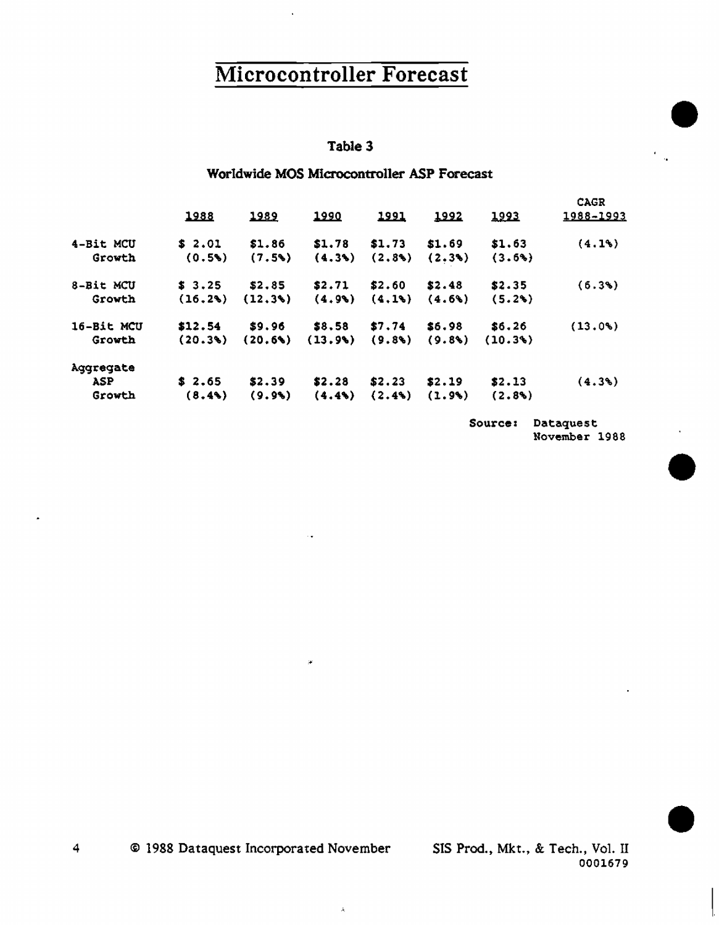#### Table 3

#### Worldwide MOS Microcontroller ASP Forecast

|            |         |        |              |           |           |              | <b>CAGR</b> |
|------------|---------|--------|--------------|-----------|-----------|--------------|-------------|
|            | 1988    | 1989   | <u> 1990</u> | 1991      | 1992      | <u> 1993</u> | 1988-1993   |
| 4-Bit MCU  | \$2.01  | \$1.86 | \$1.78       | \$1.73    | \$1.69    | \$1.63       | (4.13)      |
| Growth     | (0.5)   | (7.5)  | (4.3)        | (2.8)     | (2.3)     | (3.6%)       |             |
| 8-Bit MCU  | \$3.25  | \$2.85 | \$2.71       | \$2.60    | \$2.48    | \$2.35       | (6.3%)      |
| Growth     | (16.2%) | (12.3) | (4.9)        | (4.1)     | $(4.6\%)$ | (5.2%)       |             |
| 16-Bit MCU | \$12.54 | \$9.96 | \$8,58       | \$7.74    | \$6.98    | \$6.26       | $(13.0*)$   |
| Growth     | (20.3)  | (20.6) | (13.9)       | (9.8)     | (9.8)     | (10.3%)      |             |
| Aggregate  |         |        |              |           |           |              |             |
| ASP        | \$2.65  | \$2.39 | \$2.28       | \$2.23    | \$2.19    | \$2.13       | $(4.3\%)$   |
| Growth     | (8.43)  | (9.9)  | (4.4)        | $(2.4\%)$ | (1.9%)    | $(2.8\%)$    |             |

Source: Dataquest November 1988 •

•

•

4 © 1988 Dataquest Incorporated November SIS Prod., Mkt., & Tech., Vo1. II

 $\bar{A}$ 

 $\mu$ 

0001679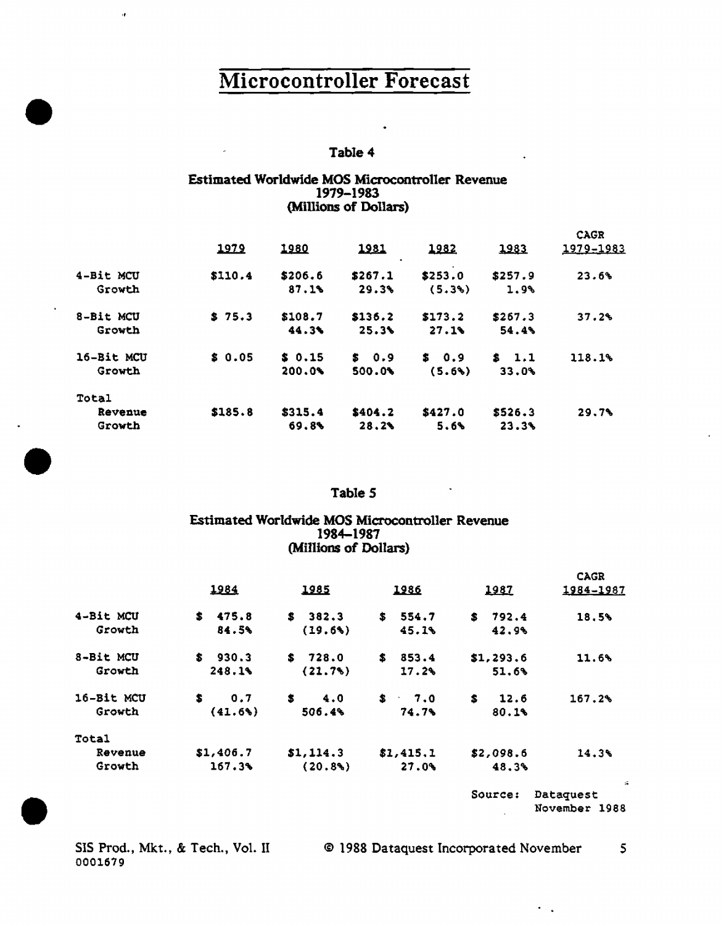#### Table 4

#### Estimated Worldwide MOS Microcontroller Revenue 1979-1983 (Millions of Dollars)

|           |            | 1979    | 1980    | 1981         | 1982           | 1983    | CAGR<br>1979-1983 |
|-----------|------------|---------|---------|--------------|----------------|---------|-------------------|
|           | 4-Bit MCU  | \$110.4 | \$206.6 | ٠<br>\$267.1 | \$253.0        | \$257.9 | 23.6%             |
|           | Growth     |         | 87.1%   | 29.3%        | (5.3%)         | 1.9%    |                   |
| $\bullet$ | 8-Bit MCU  | \$75.3  | \$108.7 | \$136.2      | \$173.2        | \$267.3 | 37.2%             |
|           | Growth     |         | 44.3%   | 25.3%        | 27.19          | 54.4%   |                   |
|           | 16-Bit MCU | \$0.05  | \$0.15  | \$0.9        | \$0.9          | \$1.1   | 118.1%            |
|           | Growth     |         | 200.0%  | 500.0%       | (5.6%)         | 33.0%   |                   |
|           | Total      |         |         |              |                |         |                   |
|           | Revenue    | \$185.8 | \$315.4 | \$404.2      | \$427.0        | \$526.3 | 29.7%             |
|           | Growth     |         | 69.8    | 28.2%        | 5.6%           | 23.3%   |                   |
|           |            |         |         |              |                |         |                   |
|           |            |         |         | Table 5      | $\blacksquare$ |         |                   |
|           |            |         |         |              |                |         |                   |

#### Table *5*

#### Estimated Worldwide MOS Microcontroller Revenue 1984-1987 (Millions of Dollars)

|            | 1984       | 1985        | 1986        | 1987         | <b>CAGR</b><br>1984-1987                    |
|------------|------------|-------------|-------------|--------------|---------------------------------------------|
| 4-Bit MCU  | \$475.8    | \$382.3     | \$<br>554.7 | 792.4<br>\$. | 18.5%                                       |
| Growth     | 84.5%      | (19.6%)     | 45.1%       | 42.9%        |                                             |
| 8-Bit MCU  | \$930.3    | 728.0<br>s. | S.<br>853.4 | \$1, 293.6   | 11.6%                                       |
| Growth     | 248.1%     | (21.7%)     | 17.2%       | 51.6%        |                                             |
| 16-Bit MCU | S.<br>0.7  | \$.<br>4.0  | \$7.0       | s.<br>12.6   | 167.2%                                      |
| Growth     | $(41.6\%)$ | 506.4%      | 74.7%       | 80.13        |                                             |
| Total      |            |             |             |              |                                             |
| Revenue    | \$1,406.7  | \$1,114.3   | \$1,415,1   | \$2,098.6    | 14.3%                                       |
| Growth     | 167.3%     | $(20.8\%)$  | 27.09       | 48.3%        |                                             |
|            |            |             |             | Source:      | $\mathcal{A}$<br>Dataquest<br>November 1988 |

SIS Prod., Mkt., & Tech., Vol. II 0001679

•

•

,,

 $\mathcal{C}^{\mathcal{C}}$  .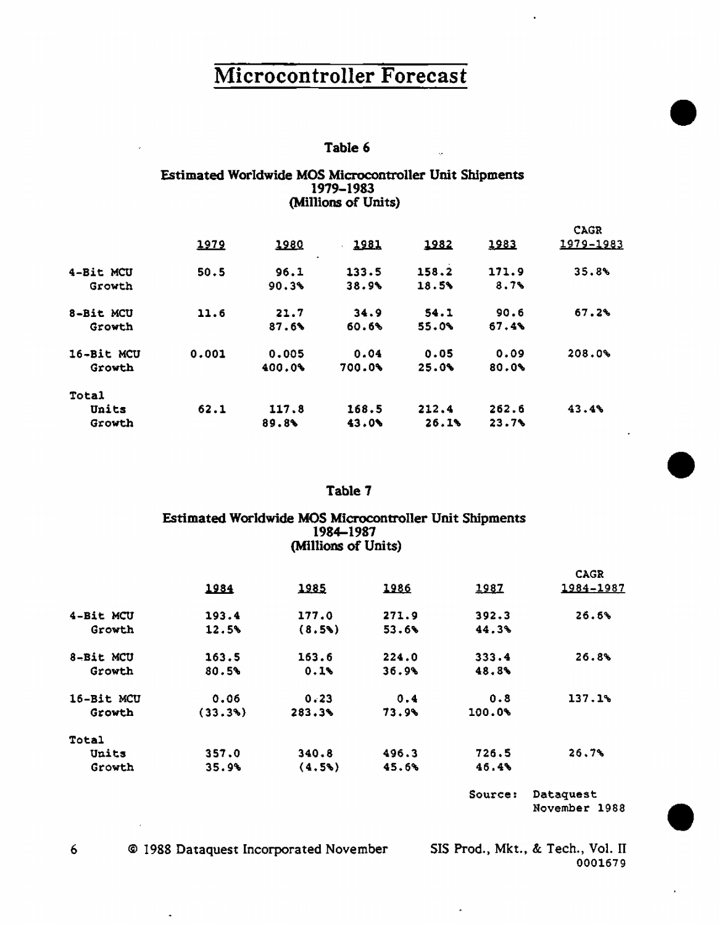#### Table 6

 $\bar{u}$ 

#### Estimated Worldwide MOS Microcontroller Unit Shipments 1979-1983 (Millions of Units)

|            |       |           |        |       |       | <b>CAGR</b> |
|------------|-------|-----------|--------|-------|-------|-------------|
|            | 1979  | 1980<br>٠ | 1981   | 1982  | 1983  | 1979-1983   |
| 4-Bit MCU  | 50.5  | 96.1      | 133.5  | 158.2 | 171.9 | 35.8%       |
| Growth     |       | 90.3%     | 38.9%  | 18.5% | 8.7%  |             |
| 8-Bit MCU  | 11.6  | 21.7      | 34.9   | 54.1  | 90.6  | 67.2%       |
| Growth     |       | 87.6%     | 60.6%  | 55.0% | 67.4% |             |
| 16-Bit MCU | 0.001 | 0.005     | 0.04   | 0.05  | 0.09  | 208.0%      |
| Growth     |       | 400.0%    | 700.0% | 25.0% | 80.0% |             |
| Total      |       |           |        |       |       |             |
| Units      | 62.1  | 117.8     | 168.5  | 212.4 | 262.6 | 43.4%       |
| Growth     |       | 89.8      | 43.0%  | 26.1% | 23.7% |             |

#### Table 7

#### Estimated Worldwide MOS Microcontroller Unit Shipments 1984-1987 (Millions of Units)

|            |         |        |       |         | <b>CAGR</b> |
|------------|---------|--------|-------|---------|-------------|
|            | 1984    | 1985   | 1986  | 1987    | 1984-1987   |
| 4-Bit MCU  | 193.4   | 177.0  | 271.9 | 392.3   | 26.6%       |
| Growth     | 12.5%   | (8.5%) | 53.6% | 44.3%   |             |
| 8-Bit MCU  | 163.5   | 163.6  | 224.0 | 333.4   | 26.8%       |
| Growth     | 80.5%   | 0.1%   | 36.9% | 48.8%   |             |
| 16-Bit MCU | 0.06    | 0.23   | 0.4   | 0.8     | 137.1%      |
| Growth     | (33.3%) | 283.3% | 73.9% | 100.0%  |             |
| Total      |         |        |       |         |             |
| Units      | 357.0   | 340.8  | 496.3 | 726.5   | 26.7%       |
| Growth     | 35.9%   | (4.5)  | 45.6% | 46.4%   |             |
|            |         |        |       | Source: | Dataquest   |

November 1988

•

•

•

6 © 1988 Dataquest Incorporated November SIS Prod., Mkt., & Tech., Vol. II

 $\ddot{\phantom{0}}$ 

0001679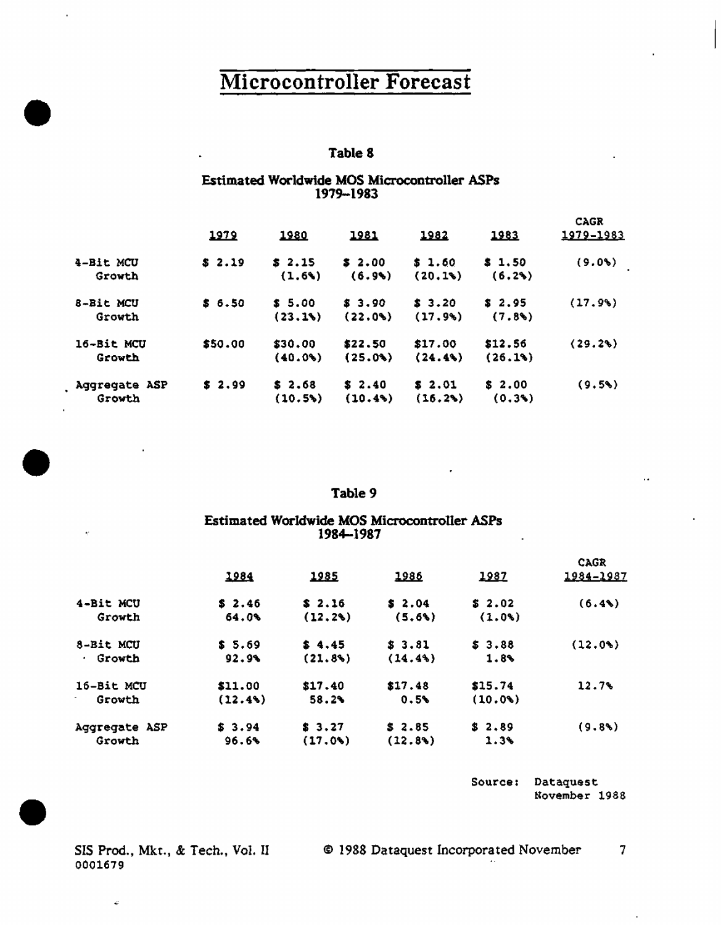#### Table 8

#### Estimated Worldwide MOS Microcontroller ASPs 1979-1983

|                         | 1979    | <u> 1980</u>      | 1981              | 1982              | 1983              | <b>CAGR</b><br>1979-1983 |
|-------------------------|---------|-------------------|-------------------|-------------------|-------------------|--------------------------|
| 4-Bit MCU<br>Growth     | \$2.19  | \$2.15<br>(1.6)   | \$2.00<br>(6.9)   | \$1.60<br>(20.1)  | \$1.50<br>(6,2)   | $(9.0\%)$                |
| 8-Bit MCU<br>Growth     | \$6.50  | \$ 5.00<br>(23.1) | \$3.90<br>(22.0)  | \$3.20<br>(17.9)  | \$2.95<br>(7.8)   | (17.9%                   |
| 16-Bit MCU<br>Growth    | \$50.00 | \$30.00<br>(40.0) | \$22.50<br>(25.0) | \$17.00<br>(24.4% | \$12.56<br>(26.1) | (29.2%)                  |
| Aggregate ASP<br>Growth | \$2.99  | \$2.68<br>(10.5)  | \$2.40<br>(10.4%  | \$2.01<br>(16.2%) | \$2.00<br>(0.3)   | (9.5)                    |

#### Table 9

#### Estimated Worldwide MOS Microcontroller ASPs 1984-1987

|                       | 1984       | 1985      | 1986      | 1987    | <b>CAGR</b><br>1984-1987 |
|-----------------------|------------|-----------|-----------|---------|--------------------------|
| 4-Bit MCU             | \$2.46     | \$2.16    | \$2.04    | \$2.02  | (6.4%                    |
| Growth                | 64.0%      | (12.2%)   | $(5.6\%)$ | (1.0)   |                          |
| 8-Bit MCU             | \$5.69     | \$4.45    | \$3.81    | \$3.88  | (12.0)                   |
| Growth<br>$\bullet$ . | 92.9%      | (21.8%)   | (14.4)    | 1.8%    |                          |
| 16-Bit MCU            | \$11.00    | \$17.40   | \$17.48   | \$15.74 | 12.7%                    |
| Growth                | $(12.4\%)$ | 58.2%     | 0.5%      | (10.0%  |                          |
| Aggregate ASP         | \$3.94     | \$3.27    | \$2.85    | \$2.89  | (9.8)                    |
| Growth                | 96.6%      | $(17.0*)$ | (12.8)    | 1.3%    |                          |

Source: Dataquest November 1988

SIS Prod., Mkt., & Tech., Vol. II 0001679

 $\ddot{\phantom{a}}$ 

•

•

•